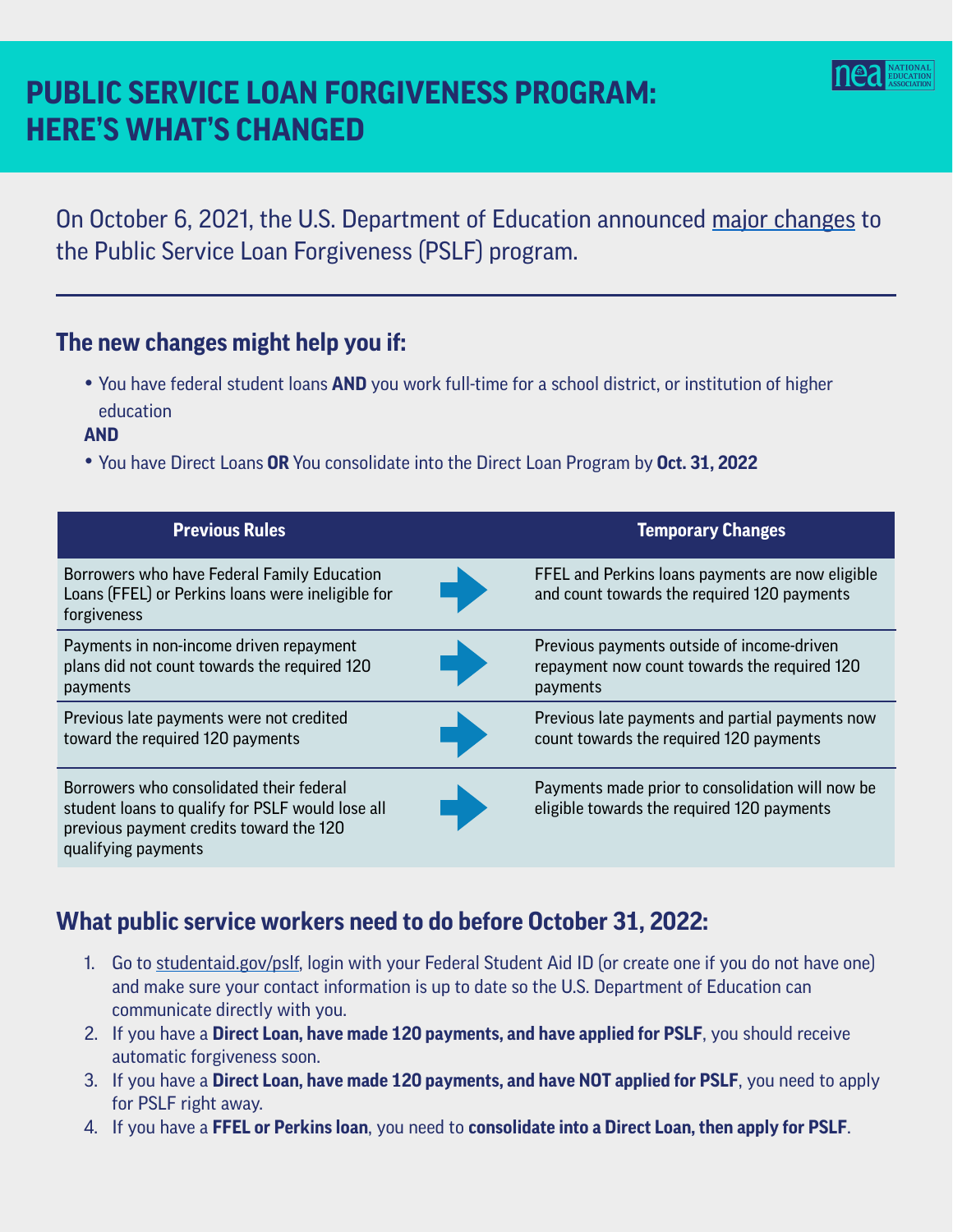# **PUBLIC SERVICE LOAN FORGIVENESS PROGRAM: HERE'S WHAT'S CHANGED**

On October 6, 2021, the U.S. Department of Education announced [major changes](https://studentaid.gov/announcements-events/pslf-limited-waiver) to the Public Service Loan Forgiveness (PSLF) program.

#### **The new changes might help you if:**

- You have federal student loans **AND** you work full-time for a school district, or institution of higher education
- **AND**

֖֖֖֖֖֖֖֖֖֖֖֖֖֪֪ׅ֖֖֪֪֪֦֖֧֪֪֪֪֪֪֪֪֦֖֧֚֚֚֚֚֚֚֚֚֚֚֚֚֚֚֚֚֚֬֝֝֝֝֝֝

• You have Direct Loans **OR** You consolidate into the Direct Loan Program by **Oct. 31, 2022**

| <b>Previous Rules</b>                                                                                                                                          | <b>Temporary Changes</b>                                                                               |
|----------------------------------------------------------------------------------------------------------------------------------------------------------------|--------------------------------------------------------------------------------------------------------|
| Borrowers who have Federal Family Education<br>Loans (FFEL) or Perkins loans were ineligible for<br>forgiveness                                                | FFEL and Perkins loans payments are now eligible<br>and count towards the required 120 payments        |
| Payments in non-income driven repayment<br>plans did not count towards the required 120<br>payments                                                            | Previous payments outside of income-driven<br>repayment now count towards the required 120<br>payments |
| Previous late payments were not credited<br>toward the required 120 payments                                                                                   | Previous late payments and partial payments now<br>count towards the required 120 payments             |
| Borrowers who consolidated their federal<br>student loans to qualify for PSLF would lose all<br>previous payment credits toward the 120<br>qualifying payments | Payments made prior to consolidation will now be<br>eligible towards the required 120 payments         |

### **What public service workers need to do before October 31, 2022:**

- 1. Go to [studentaid.gov/pslf](https://studentaid.gov/pslf/), login with your Federal Student Aid ID (or create one if you do not have one) and make sure your contact information is up to date so the U.S. Department of Education can communicate directly with you.
- 2. If you have a **Direct Loan, have made 120 payments, and have applied for PSLF**, you should receive automatic forgiveness soon.
- 3. If you have a **Direct Loan, have made 120 payments, and have NOT applied for PSLF**, you need to apply for PSLF right away.
- 4. If you have a **FFEL or Perkins loan**, you need to **consolidate into a Direct Loan, then apply for PSLF**.